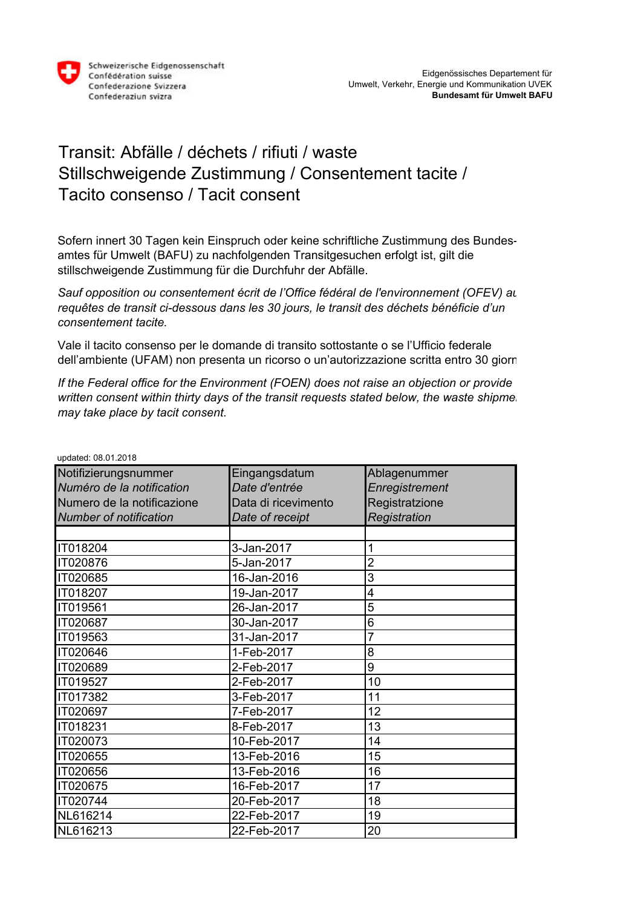

## Transit: Abfälle / déchets / rifiuti / waste Stillschweigende Zustimmung / Consentement tacite / Tacito consenso / Tacit consent

Sofern innert 30 Tagen kein Einspruch oder keine schriftliche Zustimmung des Bundesamtes für Umwelt (BAFU) zu nachfolgenden Transitgesuchen erfolgt ist, gilt die stillschweigende Zustimmung für die Durchfuhr der Abfälle.

Sauf opposition ou consentement écrit de l'Office fédéral de l'environnement *(OFEV)* au *requêtes de transit ci-dessous dans les 30 jours, le transit des déchets bénéficie d'un consentement tacite.*

Vale il tacito consenso per le domande di transito sottostante o se l'Ufficio federale dell'ambiente (UFAM) non presenta un ricorso o un'autorizzazione scritta entro 30 giorni.

*If the Federal office for the Environment (FOEN) does not raise an objection or provide written consent within thirty days of the transit requests stated below, the waste shipmer may take place by tacit consent.*

| upualcu. 00.01.2010           |                     |                |  |  |
|-------------------------------|---------------------|----------------|--|--|
| Notifizierungsnummer          | Eingangsdatum       | Ablagenummer   |  |  |
| Numéro de la notification     | Date d'entrée       | Enregistrement |  |  |
| Numero de la notificazione    | Data di ricevimento | Registratzione |  |  |
| <b>Number of notification</b> | Date of receipt     | Registration   |  |  |
|                               |                     |                |  |  |
| IT018204                      | 3-Jan-2017          |                |  |  |
| IT020876                      | 5-Jan-2017          | 2              |  |  |
| IT020685                      | 16-Jan-2016         | 3              |  |  |
| IT018207                      | 19-Jan-2017         | 4              |  |  |
| IT019561                      | 26-Jan-2017         | 5              |  |  |
| IT020687                      | 30-Jan-2017         | 6              |  |  |
| IT019563                      | 31-Jan-2017         | 7              |  |  |
| IT020646                      | 1-Feb-2017          | 8              |  |  |
| IT020689                      | 2-Feb-2017          | 9              |  |  |
| IT019527                      | 2-Feb-2017          | 10             |  |  |
| IT017382                      | 3-Feb-2017          | 11             |  |  |
| IT020697                      | 7-Feb-2017          | 12             |  |  |
| IT018231                      | 8-Feb-2017          | 13             |  |  |
| IT020073                      | 10-Feb-2017         | 14             |  |  |
| IT020655                      | 13-Feb-2016         | 15             |  |  |
| IT020656                      | 13-Feb-2016         | 16             |  |  |
| IT020675                      | 16-Feb-2017         | 17             |  |  |
| IT020744                      | 20-Feb-2017         | 18             |  |  |
| NL616214                      | 22-Feb-2017         | 19             |  |  |
| NL616213                      | 22-Feb-2017         | 20             |  |  |

updated: 08.01.2018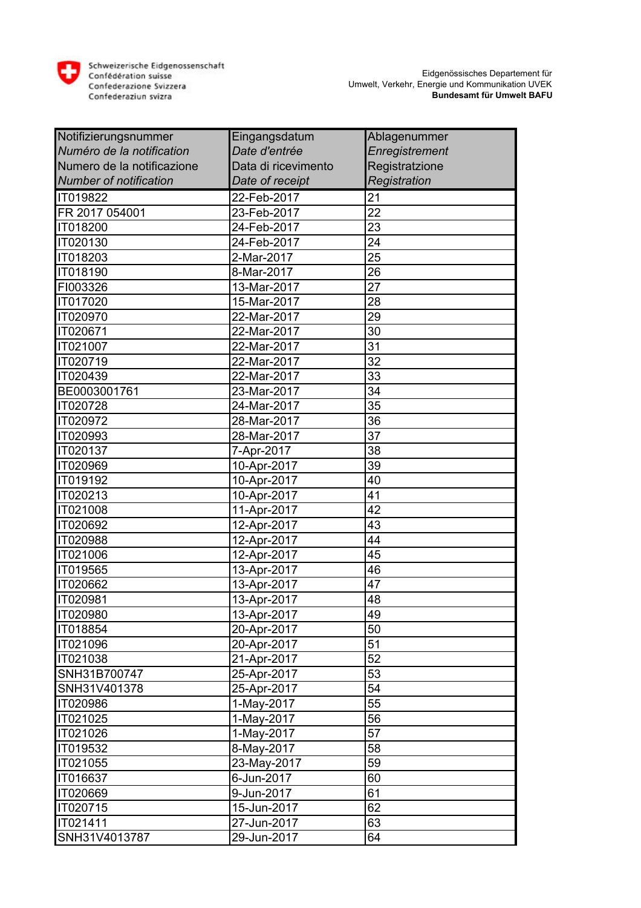

| Notifizierungsnummer          | Eingangsdatum       | Ablagenummer          |
|-------------------------------|---------------------|-----------------------|
| Numéro de la notification     | Date d'entrée       | <b>Enregistrement</b> |
| Numero de la notificazione    | Data di ricevimento | Registratzione        |
| <b>Number of notification</b> | Date of receipt     | Registration          |
| IT019822                      | 22-Feb-2017         | 21                    |
| FR 2017 054001                | 23-Feb-2017         | $\overline{22}$       |
| IT018200                      | 24-Feb-2017         | 23                    |
| IT020130                      | 24-Feb-2017         | 24                    |
| IT018203                      | 2-Mar-2017          | 25                    |
| IT018190                      | 8-Mar-2017          | 26                    |
| FI003326                      | 13-Mar-2017         | 27                    |
| IT017020                      | 15-Mar-2017         | 28                    |
| IT020970                      | 22-Mar-2017         | 29                    |
| IT020671                      | 22-Mar-2017         | 30                    |
| IT021007                      | 22-Mar-2017         | 31                    |
| IT020719                      | 22-Mar-2017         | 32                    |
| IT020439                      | 22-Mar-2017         | 33                    |
| BE0003001761                  | 23-Mar-2017         | 34                    |
| IT020728                      | 24-Mar-2017         | 35                    |
| IT020972                      | 28-Mar-2017         | 36                    |
| IT020993                      | 28-Mar-2017         | 37                    |
| IT020137                      | 7-Apr-2017          | 38                    |
| IT020969                      | 10-Apr-2017         | 39                    |
| IT019192                      | 10-Apr-2017         | 40                    |
| IT020213                      | 10-Apr-2017         | 41                    |
| IT021008                      | 11-Apr-2017         | 42                    |
| IT020692                      | 12-Apr-2017         | 43                    |
| IT020988                      | 12-Apr-2017         | 44                    |
| <b>IT021006</b>               | 12-Apr-2017         | 45                    |
| IT019565                      | 13-Apr-2017         | 46                    |
| IT020662                      | 13-Apr-2017         | 47                    |
| IT020981                      | 13-Apr-2017         | 48                    |
| <b>IT020980</b>               | 13-Apr-2017         | 49                    |
| IT018854                      | 20-Apr-2017         | 50                    |
| IT021096                      | 20-Apr-2017         | 51                    |
| IT021038                      | 21-Apr-2017         | 52                    |
| SNH31B700747                  | 25-Apr-2017         | 53                    |
| SNH31V401378                  | 25-Apr-2017         | 54                    |
| IT020986                      | 1-May-2017          | 55                    |
| IT021025                      | 1-May-2017          | 56                    |
| IT021026                      | 1-May-2017          | 57                    |
| IT019532                      | 8-May-2017          | 58                    |
| IT021055                      | 23-May-2017         | 59                    |
| IT016637                      | 6-Jun-2017          | 60                    |
| IT020669                      | 9-Jun-2017          | 61                    |
| IT020715                      | 15-Jun-2017         | 62                    |
| IT021411                      | 27-Jun-2017         | 63                    |
| SNH31V4013787                 | 29-Jun-2017         | 64                    |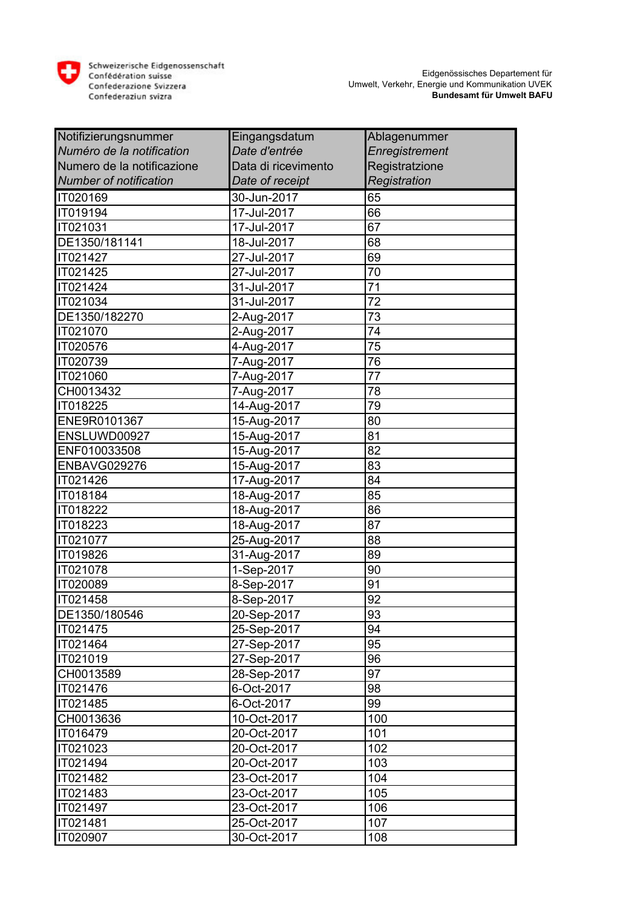

| Notifizierungsnummer          | Eingangsdatum       | Ablagenummer    |
|-------------------------------|---------------------|-----------------|
| Numéro de la notification     | Date d'entrée       | Enregistrement  |
| Numero de la notificazione    | Data di ricevimento | Registratzione  |
| <b>Number of notification</b> | Date of receipt     | Registration    |
| IT020169                      | 30-Jun-2017         | 65              |
| IT019194                      | 17-Jul-2017         | 66              |
| IT021031                      | 17-Jul-2017         | 67              |
| DE1350/181141                 | 18-Jul-2017         | 68              |
| IT021427                      | 27-Jul-2017         | 69              |
| IT021425                      | 27-Jul-2017         | 70              |
| IT021424                      | 31-Jul-2017         | 71              |
| IT021034                      | 31-Jul-2017         | 72              |
| DE1350/182270                 | 2-Aug-2017          | 73              |
| IT021070                      | 2-Aug-2017          | 74              |
| IT020576                      | 4-Aug-2017          | 75              |
| IT020739                      | 7-Aug-2017          | 76              |
| IT021060                      | 7-Aug-2017          | $\overline{77}$ |
| CH0013432                     | 7-Aug-2017          | 78              |
| IT018225                      | 14-Aug-2017         | 79              |
| ENE9R0101367                  | 15-Aug-2017         | 80              |
| ENSLUWD00927                  | 15-Aug-2017         | 81              |
| ENF010033508                  | 15-Aug-2017         | 82              |
| ENBAVG029276                  | 15-Aug-2017         | 83              |
| IT021426                      | 17-Aug-2017         | 84              |
| IT018184                      | 18-Aug-2017         | 85              |
| IT018222                      | 18-Aug-2017         | 86              |
| IT018223                      | 18-Aug-2017         | 87              |
| IT021077                      | 25-Aug-2017         | 88              |
| IT019826                      | 31-Aug-2017         | 89              |
| IT021078                      | 1-Sep-2017          | 90              |
| IT020089                      | 8-Sep-2017          | 91              |
| IT021458                      | 8-Sep-2017          | 92              |
| DE1350/180546                 | 20-Sep-2017         | 93              |
| IT021475                      | 25-Sep-2017         | 94              |
| IT021464                      | 27-Sep-2017         | 95              |
| IT021019                      | 27-Sep-2017         | 96              |
| CH0013589                     | 28-Sep-2017         | 97              |
| IT021476                      | 6-Oct-2017          | 98              |
| IT021485                      | 6-Oct-2017          | 99              |
| CH0013636                     | 10-Oct-2017         | 100             |
| IT016479                      | 20-Oct-2017         | 101             |
| IT021023                      | 20-Oct-2017         | 102             |
| IT021494                      | 20-Oct-2017         | 103             |
| IT021482                      | 23-Oct-2017         | 104             |
| IT021483                      | 23-Oct-2017         | 105             |
| IT021497                      | 23-Oct-2017         | 106             |
| IT021481                      | 25-Oct-2017         | 107             |
| <b>IT020907</b>               | 30-Oct-2017         | 108             |